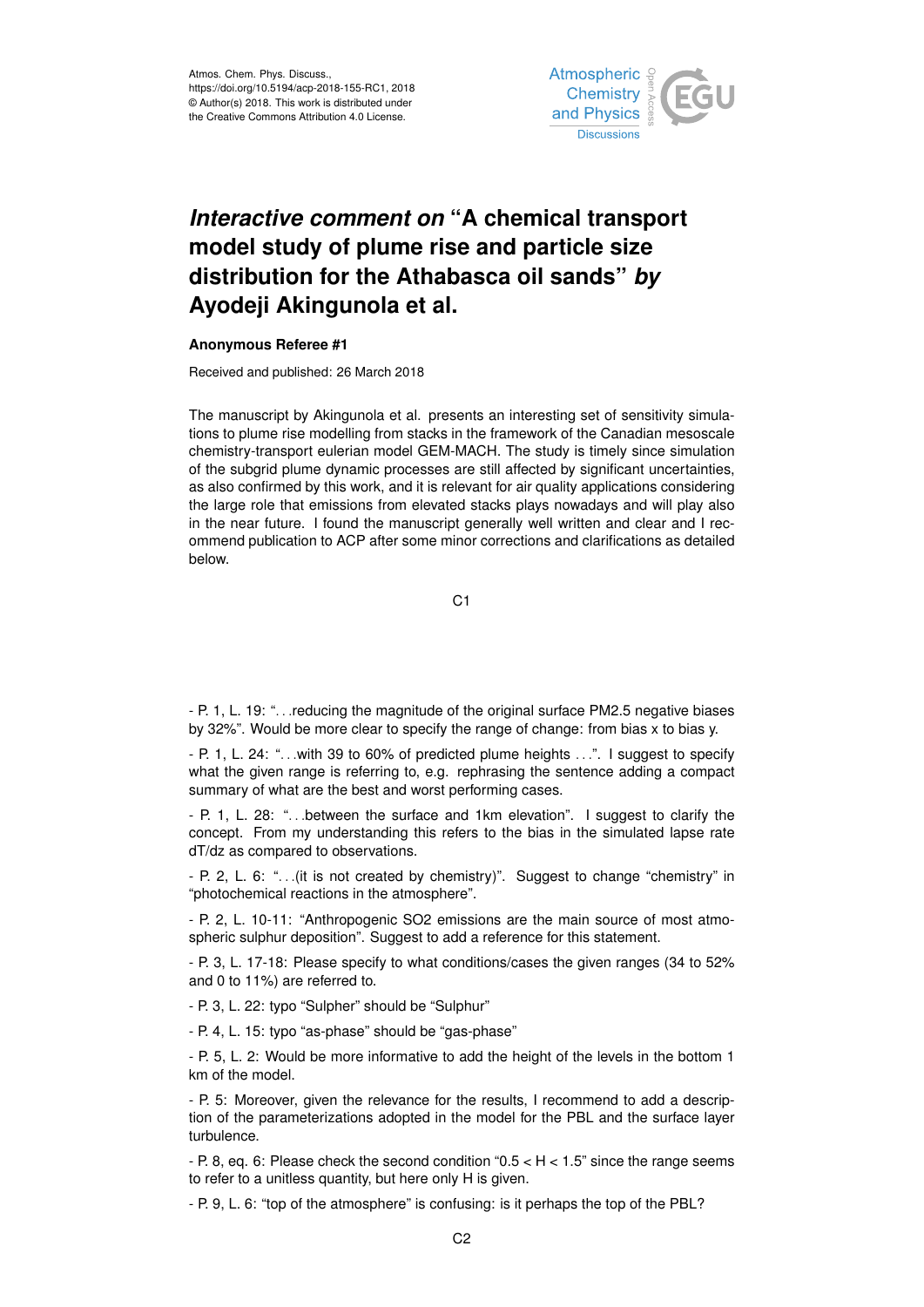

## *Interactive comment on* **"A chemical transport model study of plume rise and particle size distribution for the Athabasca oil sands"** *by* **Ayodeji Akingunola et al.**

## **Anonymous Referee #1**

Received and published: 26 March 2018

The manuscript by Akingunola et al. presents an interesting set of sensitivity simulations to plume rise modelling from stacks in the framework of the Canadian mesoscale chemistry-transport eulerian model GEM-MACH. The study is timely since simulation of the subgrid plume dynamic processes are still affected by significant uncertainties, as also confirmed by this work, and it is relevant for air quality applications considering the large role that emissions from elevated stacks plays nowadays and will play also in the near future. I found the manuscript generally well written and clear and I recommend publication to ACP after some minor corrections and clarifications as detailed below.

C1

- P. 1, L. 19: ". . .reducing the magnitude of the original surface PM2.5 negative biases by 32%". Would be more clear to specify the range of change: from bias x to bias y.

- P. 1, L. 24: "... with 39 to 60% of predicted plume heights ...". I suggest to specify what the given range is referring to, e.g. rephrasing the sentence adding a compact summary of what are the best and worst performing cases.

- P. 1, L. 28: ". . .between the surface and 1km elevation". I suggest to clarify the concept. From my understanding this refers to the bias in the simulated lapse rate dT/dz as compared to observations.

- P. 2, L. 6: ". . .(it is not created by chemistry)". Suggest to change "chemistry" in "photochemical reactions in the atmosphere".

- P. 2, L. 10-11: "Anthropogenic SO2 emissions are the main source of most atmospheric sulphur deposition". Suggest to add a reference for this statement.

- P. 3, L. 17-18: Please specify to what conditions/cases the given ranges (34 to 52% and 0 to 11%) are referred to.

- P. 3, L. 22: typo "Sulpher" should be "Sulphur"

- P. 4, L. 15: typo "as-phase" should be "gas-phase"

- P. 5, L. 2: Would be more informative to add the height of the levels in the bottom 1 km of the model.

- P. 5: Moreover, given the relevance for the results, I recommend to add a description of the parameterizations adopted in the model for the PBL and the surface layer turbulence.

- P. 8, eq. 6: Please check the second condition " $0.5 < H < 1.5$ " since the range seems to refer to a unitless quantity, but here only H is given.

- P. 9, L. 6: "top of the atmosphere" is confusing: is it perhaps the top of the PBL?